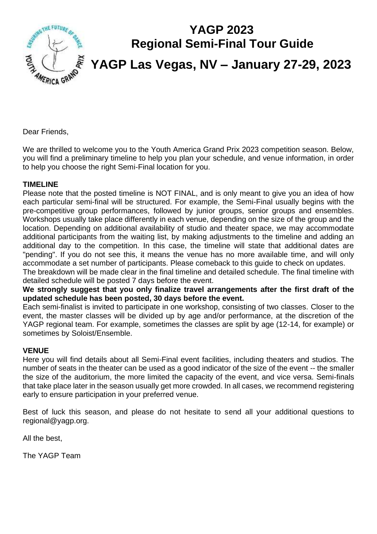

# **YAGP 2023 Regional Semi-Final Tour Guide YAGP Las Vegas, NV – January 27-29, 2023**

Dear Friends,

We are thrilled to welcome you to the Youth America Grand Prix 2023 competition season. Below, you will find a preliminary timeline to help you plan your schedule, and venue information, in order to help you choose the right Semi-Final location for you.

#### **TIMELINE**

Please note that the posted timeline is NOT FINAL, and is only meant to give you an idea of how each particular semi-final will be structured. For example, the Semi-Final usually begins with the pre-competitive group performances, followed by junior groups, senior groups and ensembles. Workshops usually take place differently in each venue, depending on the size of the group and the location. Depending on additional availability of studio and theater space, we may accommodate additional participants from the waiting list, by making adjustments to the timeline and adding an additional day to the competition. In this case, the timeline will state that additional dates are "pending". If you do not see this, it means the venue has no more available time, and will only accommodate a set number of participants. Please comeback to this guide to check on updates.

The breakdown will be made clear in the final timeline and detailed schedule. The final timeline with detailed schedule will be posted 7 days before the event.

**We strongly suggest that you only finalize travel arrangements after the first draft of the updated schedule has been posted, 30 days before the event.** 

Each semi-finalist is invited to participate in one workshop, consisting of two classes. Closer to the event, the master classes will be divided up by age and/or performance, at the discretion of the YAGP regional team. For example, sometimes the classes are split by age (12-14, for example) or sometimes by Soloist/Ensemble.

#### **VENUE**

Here you will find details about all Semi-Final event facilities, including theaters and studios. The number of seats in the theater can be used as a good indicator of the size of the event -- the smaller the size of the auditorium, the more limited the capacity of the event, and vice versa. Semi-finals that take place later in the season usually get more crowded. In all cases, we recommend registering early to ensure participation in your preferred venue.

Best of luck this season, and please do not hesitate to send all your additional questions to regional@yagp.org.

All the best,

The YAGP Team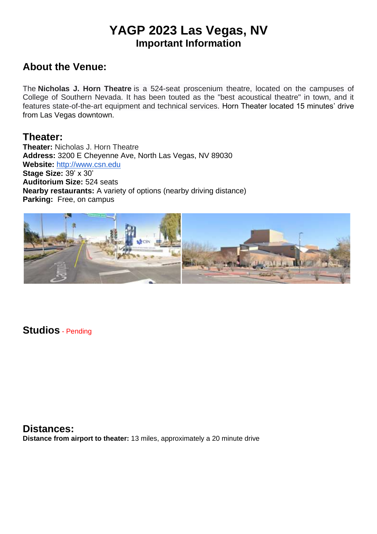## **YAGP 2023 Las Vegas, NV Important Information**

### **About the Venue:**

The **Nicholas J. Horn Theatre** is a 524-seat proscenium theatre, located on the campuses of College of Southern Nevada. It has been touted as the "best acoustical theatre" in town, and it features state-of-the-art equipment and technical services. Horn Theater located 15 minutes' drive from Las Vegas downtown.

### **Theater:**

**Theater:** Nicholas J. Horn Theatre **Address:** 3200 E Cheyenne Ave, North Las Vegas, NV 89030 **Website:** http://www.csn.edu **Stage Size:** 39' x 30' **Auditorium Size:** 524 seats **Nearby restaurants:** A variety of options (nearby driving distance) **Parking:** Free, on campus



**Studios** - Pending

**Distances: Distance from airport to theater:** 13 miles, approximately a 20 minute drive